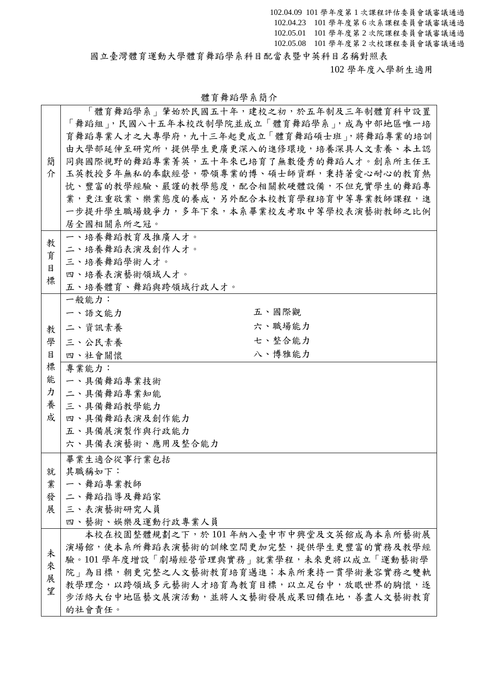102.04.09 101 學年度第 1 次課程評估委員會議審議通過 102.04.23 101 學年度第 6 次系課程委員會議審議通過 102.05.01 101 學年度第 2 次院課程委員會議審議通過 102.05.08 101 學年度第 2 次校課程委員會議審議通過 國立臺灣體育運動大學體育舞蹈學系科目配當表暨中英科目名稱對照表

102 學年度入學新生適用

|   | 「體育舞蹈學系」肇始於民國五十年,建校之初,於五年制及三年制體育科中設置     |
|---|------------------------------------------|
|   | 「舞蹈組」,民國八十五年本校改制學院並成立「體育舞蹈學系」,成為中部地區唯一培  |
|   | 育舞蹈專業人才之大專學府,九十三年起更成立「體育舞蹈碩士班」,將舞蹈專業的培訓  |
|   | 由大學部延伸至研究所,提供學生更廣更深入的進修環境,培養深具人文素養、本土認   |
| 簡 | 同與國際視野的舞蹈專業菁英,五十年來已培育了無數優秀的舞蹈人才。創系所主任王   |
| 介 | 玉英教授多年無私的奉獻經營,帶領專業的博、碩士師資群,秉持著愛心耐心的教育熱   |
|   | 忱、豐富的教學經驗、嚴謹的教學態度,配合相關軟硬體設備,不但充實學生的舞蹈專   |
|   | 業,更注重敬業、樂業態度的養成,另外配合本校教育學程培育中等專業教師課程,進   |
|   | 一步提升學生職場競爭力,多年下來,本系畢業校友考取中等學校表演藝術教師之比例   |
|   | 居全國相關系所之冠。                               |
| 教 | 一、培養舞蹈教育及推廣人才。                           |
| 育 | 二、培養舞蹈表演及創作人才。                           |
| 目 | 三、培養舞蹈學術人才。                              |
| 標 | 四、培養表演藝術領域人才。                            |
|   | 五、培養體育、舞蹈與跨領域行政人才。                       |
|   | 一般能力:                                    |
|   | 五、國際觀<br>一、語文能力                          |
| 教 | 六、職場能力<br>二、資訊素養                         |
| 學 | 七、整合能力<br>三、公民素養                         |
| 目 | 八、博雅能力<br>四、社會關懷                         |
| 標 | 專業能力:                                    |
| 能 | 一、具備舞蹈專業技術                               |
| 力 | 二、具備舞蹈專業知能                               |
| 養 | 三、具備舞蹈教學能力                               |
| 成 | 四、具備舞蹈表演及創作能力                            |
|   | 五、具備展演製作與行政能力                            |
|   | 六、具備表演藝術、應用及整合能力                         |
|   | 畢業生適合從事行業包括                              |
| 就 | 其職稱如下:                                   |
| 業 | 一、舞蹈專業教師                                 |
| 發 | 二、舞蹈指導及舞蹈家                               |
| 展 | 三、表演藝術研究人員                               |
|   | 四、藝術、娛樂及運動行政專業人員                         |
|   | 本校在校園整體規劃之下,於101年納入臺中市中興堂及文英館成為本系所藝術展    |
| 未 | 演場館,使本系所舞蹈表演藝術的訓練空間更加完整,提供學生更豐富的實務及教學經   |
| 來 | 驗。101 學年度增設「劇場經營管理與實務」就業學程,未來更將以成立「運動藝術學 |
| 展 | 院」為目標,朝更完整之人文藝術教育培育邁進;本系所秉持一貫學術兼容實務之雙軌   |
| 望 | 教學理念,以跨領域多元藝術人才培育為教育目標,以立足台中,放眼世界的胸懷,逐   |
|   | 步活絡大台中地區藝文展演活動,並將人文藝術發展成果回饋在地,善盡人文藝術教育   |
|   | 的社會責任。                                   |

體育舞蹈學系簡介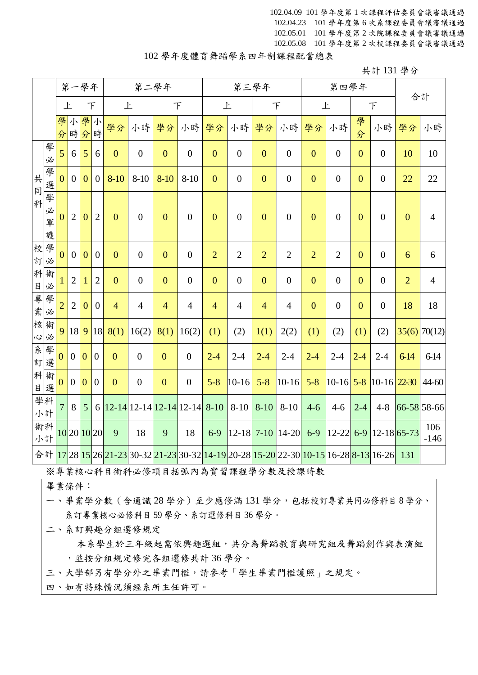102.04.09 101 學年度第 1 次課程評估委員會議審議通過 102.04.23 101 學年度第 6 次系課程委員會議審議通過 102.05.01 101 學年度第 2 次院課程委員會議審議通過 102.05.08 101 學年度第 2 次校課程委員會議審議通過

## 102 學年度體育舞蹈學系四年制課程配當總表

共計 131 學分

|                              |                  |                | 第一學年             |                |                | 第二學年           |                                  |                  |                  |                | 第三學年             |                |                  |                                                                                                                                  | 第四學年             |                | 合計                        |                |                |
|------------------------------|------------------|----------------|------------------|----------------|----------------|----------------|----------------------------------|------------------|------------------|----------------|------------------|----------------|------------------|----------------------------------------------------------------------------------------------------------------------------------|------------------|----------------|---------------------------|----------------|----------------|
|                              |                  | 上              |                  | F              |                | 上              |                                  |                  | F                | 上              |                  |                | $\top$           | 上                                                                                                                                |                  |                | $\top$                    |                |                |
|                              |                  | 學<br>分         | 小                | 學小<br>時分時      |                | 學分             | 小時                               | 學分               | 小時               | 學分             | 小時               | 學分             | 小時               | 學分                                                                                                                               | 小時               | 學<br>分         | 小時                        | 學分             | 小時             |
|                              | 學<br>必           | 5              | 6                | 5              | 6              | $\overline{0}$ | $\boldsymbol{0}$                 | $\overline{0}$   | $\boldsymbol{0}$ | $\overline{0}$ | $\boldsymbol{0}$ | $\mathbf{0}$   | $\boldsymbol{0}$ | $\mathbf{0}$                                                                                                                     | $\boldsymbol{0}$ | $\overline{0}$ | $\overline{0}$            | 10             | 10             |
| 共<br>$\overline{\mathbb{F}}$ | 學選               | $\overline{0}$ | $\boldsymbol{0}$ | $\overline{0}$ | $\overline{0}$ | $8 - 10$       | $8 - 10$                         | $8-10$           | $8 - 10$         | $\overline{0}$ | $\overline{0}$   | $\mathbf{0}$   | $\boldsymbol{0}$ | $\mathbf{0}$                                                                                                                     | $\overline{0}$   | $\overline{0}$ | $\boldsymbol{0}$          | 22             | 22             |
| 科                            | 學<br>必<br>軍<br>護 | $\overline{0}$ | $\overline{2}$   | $\overline{0}$ | $\overline{2}$ | $\overline{0}$ | $\mathbf{0}$                     | $\overline{0}$   | $\overline{0}$   | $\overline{0}$ | $\overline{0}$   | $\mathbf{0}$   | $\boldsymbol{0}$ | $\overline{0}$                                                                                                                   | $\overline{0}$   | $\overline{0}$ | $\overline{0}$            | $\mathbf{0}$   | $\overline{4}$ |
| 校                            | 學<br>訂必          | $\theta$       | $\overline{0}$   | $\overline{0}$ | $\overline{0}$ | $\overline{0}$ | $\boldsymbol{0}$                 | $\overline{0}$   | $\boldsymbol{0}$ | $\overline{2}$ | $\overline{2}$   | $\overline{2}$ | $\overline{2}$   | $\overline{2}$                                                                                                                   | $\overline{2}$   | $\mathbf{0}$   | $\boldsymbol{0}$          | 6              | 6              |
| $\boxminus$                  | 科術<br>必          |                | $\overline{2}$   | 1              | $\overline{2}$ | $\overline{0}$ | $\boldsymbol{0}$                 | $\boldsymbol{0}$ | $\boldsymbol{0}$ | $\overline{0}$ | $\boldsymbol{0}$ | $\overline{0}$ | $\boldsymbol{0}$ | $\overline{0}$                                                                                                                   | $\boldsymbol{0}$ | $\overline{0}$ | $\mathbf{0}$              | $\overline{2}$ | $\overline{4}$ |
| 專<br>業                       | 學<br>必           | $\overline{2}$ | $\overline{2}$   | $\Omega$       | $\overline{0}$ | $\overline{4}$ | $\overline{4}$                   | $\overline{4}$   | $\overline{4}$   | $\overline{4}$ | $\overline{4}$   | $\overline{4}$ | $\overline{4}$   | $\mathbf{0}$                                                                                                                     | $\boldsymbol{0}$ | $\overline{0}$ | $\boldsymbol{0}$          | 18             | 18             |
| 心                            | 核術<br>必          | 9              | 18               | 9              | 18             | 8(1)           | 16(2)                            | 8(1)             | 16(2)            | (1)            | (2)              | 1(1)           | 2(2)             | (1)                                                                                                                              | (2)              | (1)            | (2)                       |                | $35(6)$ 70(12) |
| 糸<br>訂                       | 學<br>選           | $\overline{0}$ | $\theta$         | $\overline{0}$ | $\overline{0}$ | $\overline{0}$ | $\boldsymbol{0}$                 | $\mathbf{0}$     | $\boldsymbol{0}$ | $2 - 4$        | $2 - 4$          | $2 - 4$        | $2 - 4$          | $2 - 4$                                                                                                                          | $2 - 4$          | $2 - 4$        | $2 - 4$                   | $6-14$         | 6-14           |
|                              | 科術<br>日選         | $\overline{0}$ | $\mathbf{0}$     | $\overline{0}$ | $\overline{0}$ | $\overline{0}$ | $\overline{0}$                   | $\mathbf{0}$     | $\boldsymbol{0}$ | $5 - 8$        | $ 10 - 16 $      | $5 - 8$        | $10-16$          | $5 - 8$                                                                                                                          |                  |                | $10-16$ 5-8 10-16 $22-30$ |                | $44 - 60$      |
|                              | 學科<br>小計         | $\overline{7}$ | 8                | 5              |                |                | $6 12-14 12-14 12-14 12-14 8-10$ |                  |                  |                | $8-10$           | $8 - 10$       | $8 - 10$         | $4 - 6$                                                                                                                          | $4 - 6$          | $2 - 4$        | $4 - 8$                   |                | 66-58 58-66    |
|                              | 術科<br>小計         |                | 10 20 10 20      |                |                | 9              | 18                               | 9                | 18               | $6 - 9$        | $ 12 - 18 $      | $7-10$         | $ 14 - 20 $      | $6-9$                                                                                                                            |                  |                | $12 - 22$ 6-9 12-18 65-73 |                | 106<br>$-146$  |
|                              |                  |                |                  |                |                |                |                                  |                  |                  |                |                  |                |                  | 合計 <mark>17</mark> 28 15 26 21-23 30-32 <mark>21-23</mark> 30-32 14-19 20-28 15-20 22-30 10-15 16-28 <mark>8-13</mark> 16-26 131 |                  |                |                           |                |                |

※專業核心科目術科必修項目括弧內為實習課程學分數及授課時數

畢業條件:

一、畢業學分數(含通識 28 學分)至少應修滿 131 學分,包括校訂專業共同必修科目 8 學分、 系訂專業核心必修科目 59 學分、系訂選修科目 36 學分。

二、系訂興趣分組選修規定

本系學生於三年級起需依興趣選組,共分為舞蹈教育與研究組及舞蹈創作與表演組 ,並按分組規定修完各組選修共計 36 學分。

三、大學部另有學分外之畢業門檻,請參考「學生畢業門檻護照」之規定。

四、如有特殊情況須經系所主任許可。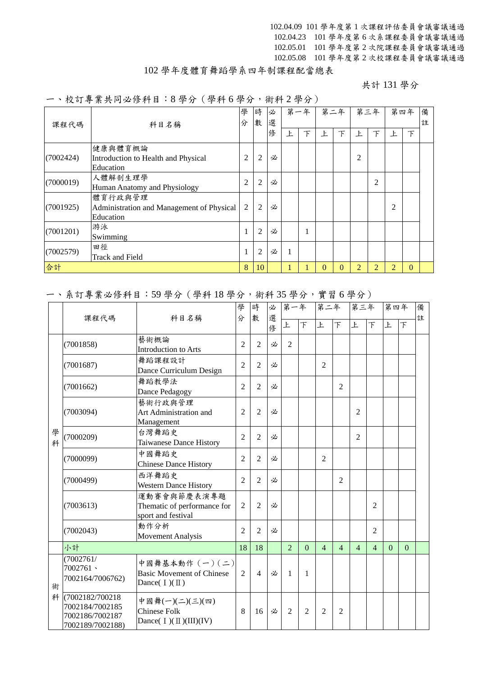102.04.09 101 學年度第 1 次課程評估委員會議審議通過 102.04.23 101 學年度第 6 次系課程委員會議審議通過 102.05.01 101 學年度第 2 次院課程委員會議審議通過 102.05.08 101 學年度第 2 次校課程委員會議審議通過

## 102 學年度體育舞蹈學系四年制課程配當總表

共計 131 學分

一、校訂專業共同必修科目:8 學分(學科 6 學分,術科 2 學分)

| 課程代碼      | 科目名稱                                                              |                | 時<br>數         | 必<br>選 | 第一年 |   | 第二年      |              | 第三年            |                |   | 第四年          | 備<br>註 |
|-----------|-------------------------------------------------------------------|----------------|----------------|--------|-----|---|----------|--------------|----------------|----------------|---|--------------|--------|
|           |                                                                   |                |                | 修      | Ł   | 下 | ŀ.       | 下            | 上              | 下              | Ŀ | 下            |        |
| (7002424) | 健康與體育概論<br>Introduction to Health and Physical<br>Education       | 2              | $\overline{c}$ | 必      |     |   |          |              | $\overline{c}$ |                |   |              |        |
| (7000019) | 人體解剖生理學<br>Human Anatomy and Physiology                           | $\overline{2}$ | $\overline{c}$ | 必      |     |   |          |              |                | $\overline{2}$ |   |              |        |
| (7001925) | 體育行政與管理<br>Administration and Management of Physical<br>Education | 2              | $\overline{2}$ | 必      |     |   |          |              |                |                | 2 |              |        |
| (7001201) | 游泳<br>Swimming                                                    |                | $\overline{2}$ | 必      |     | 1 |          |              |                |                |   |              |        |
| (7002579) | 田徑<br><b>Track and Field</b>                                      | 1              | $\overline{2}$ | 必      | 1   |   |          |              |                |                |   |              |        |
| 合計        |                                                                   | 8              | 10             |        |     |   | $\Omega$ | $\mathbf{0}$ | $\overline{2}$ | 2              | 2 | $\mathbf{0}$ |        |

### 一、系訂專業必修科目:59 學分(學科 18 學分,術科 35 學分,實習 6 學分)

|        | 課程代碼                                                                        | 科目名稱                                                                    | 學<br>分         | 時<br>數         | 必<br>選 | 第一年            |                          | 第二年            |                          | 第三年            |                | 第四年      |          | 備<br>註 |
|--------|-----------------------------------------------------------------------------|-------------------------------------------------------------------------|----------------|----------------|--------|----------------|--------------------------|----------------|--------------------------|----------------|----------------|----------|----------|--------|
|        |                                                                             |                                                                         |                |                | 俢      | 上              | $\overline{\mathcal{F}}$ | 上              | $\overline{\mathcal{F}}$ | 上              | $\top$         | 上        | 下        |        |
|        | (7001858)                                                                   | 藝術概論<br><b>Introduction to Arts</b>                                     | $\overline{2}$ | $\overline{2}$ | 必      | $\overline{2}$ |                          |                |                          |                |                |          |          |        |
|        | (7001687)                                                                   | 舞蹈課程設計<br>Dance Curriculum Design                                       | $\overline{2}$ | $\overline{2}$ | 必      |                |                          | $\overline{2}$ |                          |                |                |          |          |        |
|        | (7001662)                                                                   | 舞蹈教學法<br>Dance Pedagogy                                                 | $\overline{2}$ | $\overline{2}$ | 必      |                |                          |                | 2                        |                |                |          |          |        |
|        | (7003094)                                                                   | 藝術行政與管理<br>Art Administration and<br>Management                         | $\overline{2}$ | $\overline{2}$ | 必      |                |                          |                |                          | $\mathfrak{D}$ |                |          |          |        |
| 學<br>科 | (7000209)                                                                   | 台灣舞蹈史<br>Taiwanese Dance History                                        | $\overline{2}$ | $\overline{2}$ | 必      |                |                          |                |                          | $\overline{2}$ |                |          |          |        |
|        | (7000099)                                                                   | 中國舞蹈史<br><b>Chinese Dance History</b>                                   | $\overline{2}$ | $\overline{2}$ | 必      |                |                          | $\overline{2}$ |                          |                |                |          |          |        |
|        | (7000499)                                                                   | 西洋舞蹈史<br><b>Western Dance History</b>                                   | $\overline{2}$ | $\overline{2}$ | 必      |                |                          |                | $\overline{c}$           |                |                |          |          |        |
|        | (7003613)                                                                   | 運動賽會與節慶表演專題<br>Thematic of performance for<br>sport and festival        | $\overline{2}$ | $\overline{2}$ | 必      |                |                          |                |                          |                | 2              |          |          |        |
|        | (7002043)                                                                   | 動作分析<br><b>Movement Analysis</b>                                        | $\overline{2}$ | $\overline{2}$ | 必      |                |                          |                |                          |                | 2              |          |          |        |
|        | 小計                                                                          |                                                                         | 18             | 18             |        | $\overline{2}$ | $\Omega$                 | $\overline{4}$ | $\overline{4}$           | $\overline{4}$ | $\overline{4}$ | $\Omega$ | $\Omega$ |        |
| 術      | (7002761/<br>$7002761$ $\cdot$<br>7002164/7006762)                          | 中國舞基本動作 (一)(二)<br><b>Basic Movement of Chinese</b><br>Dance( $I)(II)$ ) | 2              | $\overline{4}$ | 必      | 1              | 1                        |                |                          |                |                |          |          |        |
|        | 科 (7002182/700218<br>7002184/7002185<br>7002186/7002187<br>7002189/7002188) | 中國舞(一)(二)(三)(四)<br><b>Chinese Folk</b><br>Dance( $I)(II)(III)(IV)$      | 8              | 16             | 必      | $\overline{2}$ | $\overline{2}$           | $\overline{2}$ | $\overline{2}$           |                |                |          |          |        |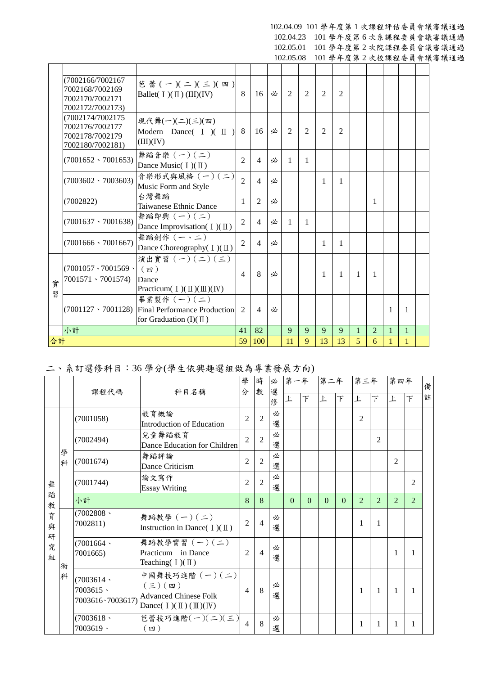#### 102.04.09 101 學年度第 1 次課程評估委員會議審議通過 102.04.23 101 學年度第 6 次系課程委員會議審議通過

102.05.01 101 學年度第 2 次院課程委員會議審議通過

102.05.08 101 學年度第 2 次校課程委員會議審議通過

|        | (7002166/7002167<br>7002168/7002169<br>7002170/7002171<br>7002172/7002173) | 芭蕾(一)(二)(三)(四)<br>Ballet( $I)(II)(III)(IV)$                                                               | 8              | 16             | 必 | $\mathcal{L}$               | 2              | 2              | $\mathfrak{D}$ |                |                |              |              |  |
|--------|----------------------------------------------------------------------------|-----------------------------------------------------------------------------------------------------------|----------------|----------------|---|-----------------------------|----------------|----------------|----------------|----------------|----------------|--------------|--------------|--|
|        | (7002174/7002175<br>7002176/7002177<br>7002178/7002179<br>7002180/7002181) | 現代舞(一)(二)(三)(四)<br>Modern Dance( $I$ )( $II$ )<br>(III)(IV)                                               | -8             | 16             | 必 | $\mathcal{D}_{\mathcal{L}}$ | $\mathfrak{D}$ | $\mathfrak{D}$ | $\mathfrak{D}$ |                |                |              |              |  |
|        | $(7001652 \cdot 7001653)$                                                  | 舞蹈音樂 (一)(二)<br>Dance Music( $I)(II)$                                                                      | $\overline{2}$ | $\overline{4}$ | 必 | $\mathbf{1}$                | 1              |                |                |                |                |              |              |  |
|        | $(7003602 \cdot 7003603)$                                                  | 音樂形式與風格 (一)(二)<br>Music Form and Style                                                                    | $\overline{2}$ | $\overline{4}$ | 必 |                             |                | 1              | 1              |                |                |              |              |  |
|        | (7002822)                                                                  | 台灣舞蹈<br>Taiwanese Ethnic Dance                                                                            | $\mathbf{1}$   | 2              | 必 |                             |                |                |                |                | $\mathbf{1}$   |              |              |  |
|        | $(7001637 \cdot 7001638)$                                                  | 舞蹈即興 $(-)(-)$<br>Dance Improvisation( $I$ )( $\mathbb{I}$ )                                               | $\overline{2}$ | $\overline{4}$ | 必 | $\mathbf{1}$                | 1              |                |                |                |                |              |              |  |
|        | $(7001666 \cdot 7001667)$                                                  | 舞蹈創作 (一、二)<br>Dance Choreography( I)(II)                                                                  | $\overline{2}$ | $\overline{4}$ | 必 |                             |                | 1              | 1              |                |                |              |              |  |
| 實<br>習 | $(7001057 \cdot 7001569 \cdot )$<br>$7001571 \cdot 7001574$                | 演出實習 $(-)(-)(\le)$<br>(四)<br>Dance<br>Practicum( $I$ )( $\mathbb{I}$ )( $\mathbb{II}$ )( $\mathbb{IV}$ )  | $\overline{4}$ | 8              | 必 |                             |                | 1              | $\mathbf{1}$   | $\overline{1}$ | $\mathbf{1}$   |              |              |  |
|        |                                                                            | 畢業製作 (一)(二)<br>$(7001127 \cdot 7001128)$ Final Performance Production<br>for Graduation $(I)(\mathbb{I})$ | 2              | $\overline{4}$ | 必 |                             |                |                |                |                |                | 1            | -1           |  |
|        | 小計                                                                         |                                                                                                           | 41             | 82             |   | 9                           | 9              | 9              | 9              | 1              | $\overline{2}$ | $\mathbf{1}$ | $\mathbf{1}$ |  |
| 合計     |                                                                            |                                                                                                           | 59             | 100            |   | 11                          | 9              | 13             | 13             | 5              | 6              |              | $\mathbf{1}$ |  |

# 二、系訂選修科目:36 學分(學生依興趣選組做為專業發展方向)

|             |        | 課程代碼                     | 科目名稱                                                                                                                                                             | 學<br>分         | 時<br>數         | 必<br>選<br>修 | 第一年<br>上 | 下        | 第二年<br>上 | $\top$   | 第三年<br>上       | 下              | 第四年<br>上       | $\top$         | 備<br>註 |
|-------------|--------|--------------------------|------------------------------------------------------------------------------------------------------------------------------------------------------------------|----------------|----------------|-------------|----------|----------|----------|----------|----------------|----------------|----------------|----------------|--------|
|             |        | (7001058)                | 教育概論<br><b>Introduction of Education</b>                                                                                                                         | $\overline{2}$ | $\overline{2}$ | 必<br>選      |          |          |          |          | $\overline{2}$ |                |                |                |        |
|             |        | (7002494)                | 兒童舞蹈教育<br>Dance Education for Children                                                                                                                           | $\mathfrak{D}$ | $\overline{2}$ | 必<br>選      |          |          |          |          |                | $\overline{2}$ |                |                |        |
|             | 學<br>科 | (7001674)                | 舞蹈評論<br>Dance Criticism                                                                                                                                          | $\overline{2}$ | $\overline{2}$ | 必<br>選      |          |          |          |          |                |                | $\overline{2}$ |                |        |
| 舞           |        | (7001744)                | 論文寫作<br><b>Essay Writing</b>                                                                                                                                     | $\overline{2}$ | $\overline{2}$ | 必<br>選      |          |          |          |          |                |                |                | $\overline{2}$ |        |
| 蹈<br>教      |        | 小計                       |                                                                                                                                                                  | 8              | 8              |             | $\Omega$ | $\Omega$ | $\Omega$ | $\Omega$ | 2              | 2              | $\mathfrak{D}$ | $\mathfrak{D}$ |        |
| 育<br>與<br>研 |        | (7002808)<br>7002811)    | 舞蹈教學 (一)(二)<br>Instruction in Dance( $I$ )( $\mathbb{I}$ )                                                                                                       | $\overline{2}$ | 4              | 必<br>選      |          |          |          |          | 1              | 1              |                |                |        |
| 究<br>組      | 術      | (7001664)<br>7001665)    | 舞蹈教學實習 (一)(二)<br>Practicum in Dance<br>Teaching $(I)(II)$                                                                                                        | 2              | $\overline{4}$ | 必<br>選      |          |          |          |          |                |                | 1              | 1              |        |
|             | 科      | (7003614)<br>$7003615 -$ | 中國舞技巧進階 (一)(二)<br>$(\Xi)(\mathfrak{w})$<br><b>Advanced Chinese Folk</b><br>7003616 · 7003617) $\boxed{\text{Dance}(\text{I})(\text{II})(\text{III})(\text{IV})}$ | $\overline{4}$ | 8              | 必<br>選      |          |          |          |          | 1              |                | 1              | 1              |        |
|             |        | (7003618)<br>$7003619 -$ | 芭蕾技巧進階 $(-)(\leq)(\leq)$<br>(四)                                                                                                                                  | $\overline{4}$ | 8              | 必<br>選      |          |          |          |          | 1              | 1              | 1              | 1              |        |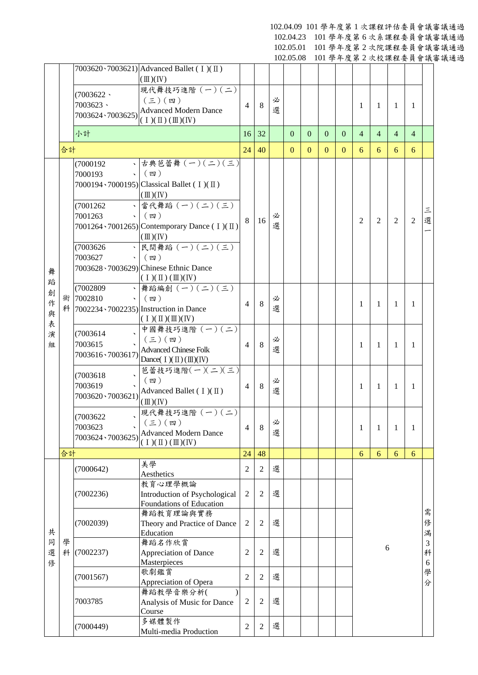102.04.09 101 學年度第 1 次課程評估委員會議審議通過

102.04.23 101 學年度第 6 次系課程委員會議審議通過 102.05.01 101 學年度第 2 次院課程委員會議審議通過

102.05.08 101 學年度第 2 次校課程委員會議審議通過

|                  |    |                                                                     | $7003620 \cdot 7003621$ Advanced Ballet (I)(II)                                                                                                                         |                |                |        | 192.09.00    |              |                |                |                |                |                | 101 于 7 及 7 2 入 1 人 1 1 工 文 只 目 哦 田 |             |
|------------------|----|---------------------------------------------------------------------|-------------------------------------------------------------------------------------------------------------------------------------------------------------------------|----------------|----------------|--------|--------------|--------------|----------------|----------------|----------------|----------------|----------------|-------------------------------------|-------------|
|                  |    | (7003622)<br>7003623、<br>7003624、7003625)                           | $(\mathbb{II})(\mathbb{N})$<br>現代舞技巧進階 (一)(二)<br>$(\boldsymbol{\Xi})$ $(\boldsymbol{\Xi})$<br><b>Advanced Modern Dance</b><br>$(1)(\mathbb{I})(\mathbb{I})(\mathbb{I})$ | $\overline{4}$ | 8              | 必<br>選 |              |              |                |                | 1              | 1              | 1              | -1                                  |             |
|                  |    | 小計                                                                  |                                                                                                                                                                         | 16             | 32             |        | $\mathbf{0}$ | $\mathbf{0}$ | $\overline{0}$ | $\overline{0}$ | $\overline{4}$ | $\overline{4}$ | $\overline{4}$ | $\overline{4}$                      |             |
|                  | 合計 |                                                                     |                                                                                                                                                                         | 24             | 40             |        | $\mathbf{0}$ | $\mathbf{0}$ | $\mathbf{0}$   | $\mathbf{0}$   | 6              | 6              | 6              | 6                                   |             |
|                  |    | (7000192)<br>7000193<br>(7001262)                                   | 、古典芭蕾舞 (一)(二)(三)<br>$\cdot$ (四)<br>7000194 $\cdot$ 7000195) Classical Ballet (I)(II)<br>$(\mathbb{II})(\mathbb{N})$<br>、當代舞蹈 (一) (二) (三)                                |                |                |        |              |              |                |                |                |                |                |                                     |             |
|                  |    | 7001263<br>$\sim$                                                   | (四)<br>7001264 \vecas-7001265) Contemporary Dance (I)(II)<br>$(\mathbb{II})(\mathbb{N})$                                                                                | 8              | 16             | 必<br>選 |              |              |                |                | $\overline{2}$ | $\overline{2}$ | 2              | $\overline{2}$                      | Ξ<br>選      |
| 舞<br>蹈           |    | (7003626)<br>$\bar{\mathbf{v}}$<br>7003627<br>$\mathbf{v}$ .        | 民間舞蹈 $\overline{(-)(-)(\leq)}$<br>$(\n$ 四 )<br>7003628 \cdot 7003629) Chinese Ethnic Dance<br>$(1)(\mathbb{I})(\mathbb{I})(\mathbb{I})(\mathbb{N})$                     |                |                |        |              |              |                |                |                |                |                |                                     |             |
| 創<br>作<br>與<br>表 |    | (7002809)<br>術 7002810<br>$\mathbf{v}$                              | 、舞蹈編創 (一) (二) (三)<br>$(\nabla)$<br>科 7002234、7002235) Instruction in Dance<br>$(1)(\mathbb{I})(\mathbb{I})(\mathbb{N})$                                                 | $\overline{4}$ | 8              | 必<br>選 |              |              |                |                | 1              | 1              | 1              | 1                                   |             |
| 演<br>組           |    | (7003614)<br>7003615<br>7003616、7003617)                            | 中國舞技巧進階 (一) (二)<br>$(\boldsymbol{\Xi})$ (四)<br><b>Advanced Chinese Folk</b><br>Dance( $I)(II)(III)(IV)$                                                                 | $\overline{4}$ | 8              | 必<br>選 |              |              |                |                | 1              | 1              | 1              | 1                                   |             |
|                  |    | (7003618)<br>7003619<br>7003620 \ 7003621)                          | 芭蕾技巧進階(一)(二)(三)<br>$(\n$ 四 )<br>Advanced Ballet $(1)(\mathbb{I})$<br>$(\mathbb{II})(\mathbb{N})$                                                                        | $\overline{4}$ | 8              | 必<br>選 |              |              |                |                | 1              | 1              | 1              | 1                                   |             |
|                  |    | (7003622<br>$\overline{\phantom{a}}$<br>7003623<br>7003624、7003625) | 現代舞技巧進階 (一)(二)<br>$(\boldsymbol{\Xi})$ (四)<br><b>Advanced Modern Dance</b><br>$(\bot)(\Pi)(\Pi)(IV)$                                                                    | 4              | 8              | 必<br>選 |              |              |                |                | 1              | 1              | 1              | 1                                   |             |
|                  | 合計 |                                                                     |                                                                                                                                                                         | 24             | 48             |        |              |              |                |                | 6              | 6              | 6              | 6                                   |             |
|                  |    | (7000642)                                                           | 美學<br>Aesthetics                                                                                                                                                        | 2              | $\overline{c}$ | 選      |              |              |                |                |                |                |                |                                     |             |
|                  |    | (7002236)                                                           | 教育心理學概論<br><b>Introduction of Psychological</b><br>Foundations of Education                                                                                             | $\overline{2}$ | $\overline{2}$ | 選      |              |              |                |                |                |                |                |                                     |             |
| 共                |    | (7002039)                                                           | 舞蹈教育理論與實務<br>Theory and Practice of Dance<br>Education                                                                                                                  | $\mathfrak{2}$ | $\overline{2}$ | 選      |              |              |                |                |                |                |                |                                     | 需<br>俢<br>滿 |
| 同<br>選<br>俢      | 學  | 科 (7002237)                                                         | 舞蹈名作欣賞<br><b>Appreciation of Dance</b><br>Masterpieces                                                                                                                  | 2              | $\overline{c}$ | 選      |              |              |                |                |                |                | 6              |                                     | 3<br>科<br>6 |
|                  |    | (7001567)                                                           | 歌劇鑑賞<br>Appreciation of Opera                                                                                                                                           | $\overline{c}$ | $\overline{c}$ | 選      |              |              |                |                |                |                |                |                                     | 學<br>分      |
|                  |    | 7003785                                                             | 舞蹈教學音樂分析(<br>Analysis of Music for Dance<br>Course                                                                                                                      | 2              | $\overline{c}$ | 選      |              |              |                |                |                |                |                |                                     |             |
|                  |    | (7000449)                                                           | 多媒體製作<br>Multi-media Production                                                                                                                                         | $\overline{2}$ | $\overline{c}$ | 選      |              |              |                |                |                |                |                |                                     |             |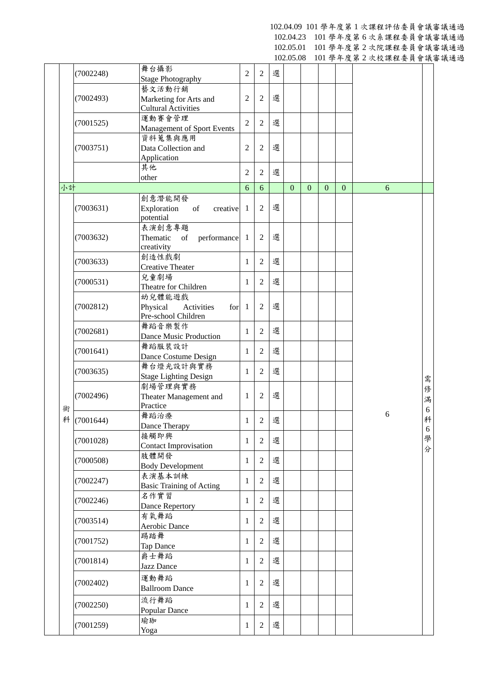102.04.09 101 學年度第 1 次課程評估委員會議審議通過 102.04.23 101 學年度第 6 次系課程委員會議審議通過

102.05.01 101 學年度第 2 次院課程委員會議審議通過

102.05.08 101 學年度第 2 次校課程委員會議審議通過

|    |             |                                                                |                |                |   |              |              |                |              | <b>□ ◇スイビー シントスッシュ スノス 目 ツベモ</b> |                      |
|----|-------------|----------------------------------------------------------------|----------------|----------------|---|--------------|--------------|----------------|--------------|----------------------------------|----------------------|
|    | (7002248)   | 舞台攝影<br><b>Stage Photography</b>                               | $\overline{2}$ | $\overline{2}$ | 選 |              |              |                |              |                                  |                      |
|    |             | 藝文活動行銷                                                         | $\overline{c}$ |                | 選 |              |              |                |              |                                  |                      |
|    | (7002493)   | Marketing for Arts and<br><b>Cultural Activities</b>           |                | 2              |   |              |              |                |              |                                  |                      |
|    | (7001525)   | 運動賽會管理<br><b>Management of Sport Events</b>                    | $\overline{2}$ | $\overline{2}$ | 選 |              |              |                |              |                                  |                      |
|    | (7003751)   | 資料蒐集與應用<br>Data Collection and                                 | $\overline{c}$ | 2              | 選 |              |              |                |              |                                  |                      |
|    |             | Application<br>其他                                              |                |                |   |              |              |                |              |                                  |                      |
|    |             | other                                                          | $\overline{2}$ | $\overline{2}$ | 選 |              |              |                |              |                                  |                      |
| 小計 |             |                                                                | 6              | 6              |   | $\mathbf{0}$ | $\mathbf{0}$ | $\overline{0}$ | $\mathbf{0}$ | 6                                |                      |
|    | (7003631)   | 創意潛能開發<br>Exploration<br>of<br>creative<br>potential           | $\mathbf{1}$   | $\overline{2}$ | 選 |              |              |                |              |                                  |                      |
|    | (7003632)   | 表演創意專題<br>Thematic<br>of<br>performance                        | $\mathbf{1}$   | $\overline{c}$ | 選 |              |              |                |              |                                  |                      |
|    | (7003633)   | creativity<br>創造性戲劇<br><b>Creative Theater</b>                 | $\mathbf{1}$   | $\overline{2}$ | 選 |              |              |                |              |                                  |                      |
|    | (7000531)   | 兒童劇場<br>Theatre for Children                                   | $\mathbf{1}$   | $\overline{2}$ | 選 |              |              |                |              |                                  |                      |
|    | (7002812)   | 幼兒體能遊戲<br>Physical<br>for<br>Activities<br>Pre-school Children | $\overline{1}$ | $\mathbf{2}$   | 選 |              |              |                |              |                                  |                      |
|    | (7002681)   | 舞蹈音樂製作<br>Dance Music Production                               | 1              | 2              | 選 |              |              |                |              |                                  |                      |
|    | (7001641)   | 舞蹈服裝設計<br>Dance Costume Design                                 | 1              | 2              | 選 |              |              |                |              |                                  |                      |
|    | (7003635)   | 舞台燈光設計與實務<br><b>Stage Lighting Design</b>                      | 1              | 2              | 選 |              |              |                |              |                                  | 需                    |
| 術  | (7002496)   | 劇場管理與實務<br>Theater Management and<br>Practice                  | 1              | $\mathbf{2}$   | 選 |              |              |                |              |                                  | 俢<br>滿<br>$\sqrt{6}$ |
|    | 科 (7001644) | 舞蹈治療<br>Dance Therapy                                          | $\mathbf{1}$   | $\sqrt{2}$     | 選 |              |              |                |              | 6                                | 科<br>6               |
|    | (7001028)   | 接觸即興<br><b>Contact Improvisation</b>                           | 1              | $\overline{2}$ | 選 |              |              |                |              |                                  | 學<br>分               |
|    | (7000508)   | 肢體開發<br><b>Body Development</b>                                | 1              | $\overline{c}$ | 選 |              |              |                |              |                                  |                      |
|    | (7002247)   | 表演基本訓練<br><b>Basic Training of Acting</b>                      | 1              | $\overline{2}$ | 選 |              |              |                |              |                                  |                      |
|    | (7002246)   | 名作實習<br>Dance Repertory                                        | 1              | $\overline{2}$ | 選 |              |              |                |              |                                  |                      |
|    | (7003514)   | 有氧舞蹈<br>Aerobic Dance                                          | $\mathbf{1}$   | $\overline{2}$ | 選 |              |              |                |              |                                  |                      |
|    | (7001752)   | 踢踏舞<br>Tap Dance                                               | $\mathbf{1}$   | $\overline{2}$ | 選 |              |              |                |              |                                  |                      |
|    | (7001814)   | 爵士舞蹈<br>Jazz Dance                                             | 1              | $\overline{2}$ | 選 |              |              |                |              |                                  |                      |
|    | (7002402)   | 運動舞蹈<br><b>Ballroom Dance</b>                                  | 1              | $\overline{2}$ | 選 |              |              |                |              |                                  |                      |
|    | (7002250)   | 流行舞蹈<br>Popular Dance                                          | 1              | $\overline{2}$ | 選 |              |              |                |              |                                  |                      |
|    | (7001259)   | 瑜珈<br>Yoga                                                     | 1              | 2              | 選 |              |              |                |              |                                  |                      |
|    |             |                                                                |                |                |   |              |              |                |              |                                  |                      |